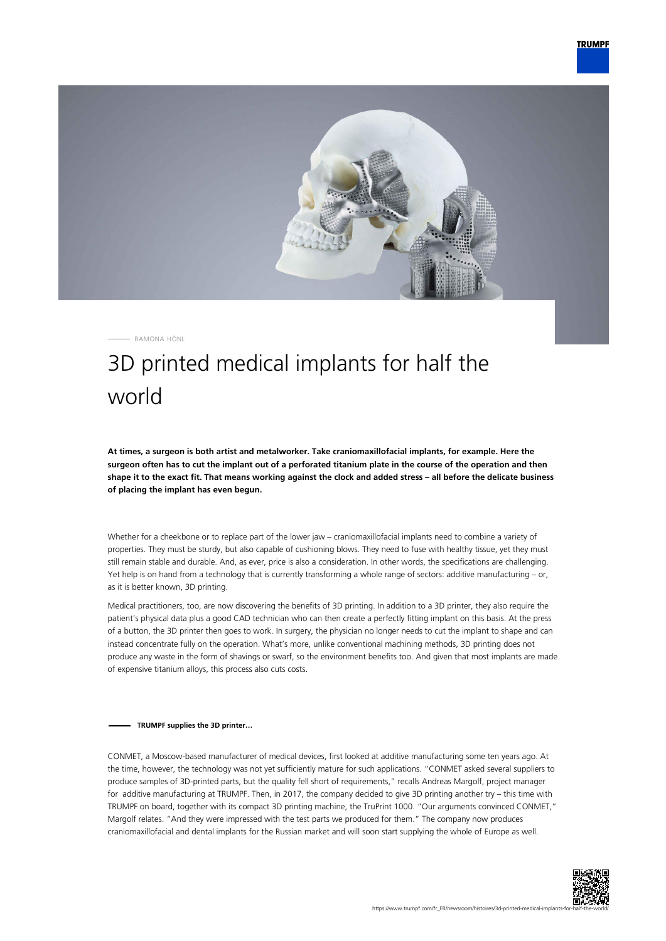

RAMONA HÖNL

## 3D printed medical implants for half the world

**At times, a surgeon is both artist and metalworker. Take craniomaxillofacial implants, for example. Here the surgeon often has to cut the implant out of a perforated titanium plate in the course of the operation and then shape it to the exact fit. That means working against the clock and added stress – all before the delicate business of placing the implant has even begun.**

Whether for a cheekbone or to replace part of the lower jaw – craniomaxillofacial implants need to combine a variety of properties. They must be sturdy, but also capable of cushioning blows. They need to fuse with healthy tissue, yet they must still remain stable and durable. And, as ever, price is also a consideration. In other words, the specifications are challenging. Yet help is on hand from a technology that is currently transforming a whole range of sectors: additive manufacturing – or, as it is better known, 3D printing.

Medical practitioners, too, are now discovering the benefits of 3D printing. In addition to a 3D printer, they also require the patient's physical data plus a good CAD technician who can then create a perfectly fitting implant on this basis. At the press of a button, the 3D printer then goes to work. In surgery, the physician no longer needs to cut the implant to shape and can instead concentrate fully on the operation. What's more, unlike conventional machining methods, 3D printing does not produce any waste in the form of shavings or swarf, so the environment benefits too. And given that most implants are made of expensive titanium alloys, this process also cuts costs.

## **TRUMPF supplies the 3D printer…**

CONMET, a Moscow-based manufacturer of medical devices, first looked at additive manufacturing some ten years ago. At the time, however, the technology was not yet sufficiently mature for such applications. "CONMET asked several suppliers to produce samples of 3D-printed parts, but the quality fell short of requirements," recalls Andreas Margolf, project manager for additive manufacturing at TRUMPF. Then, in 2017, the company decided to give 3D printing another try – this time with TRUMPF on board, together with its compact 3D printing machine, the TruPrint 1000. "Our arguments convinced CONMET," Margolf relates. "And they were impressed with the test parts we produced for them." The company now produces craniomaxillofacial and dental implants for the Russian market and will soon start supplying the whole of Europe as well.